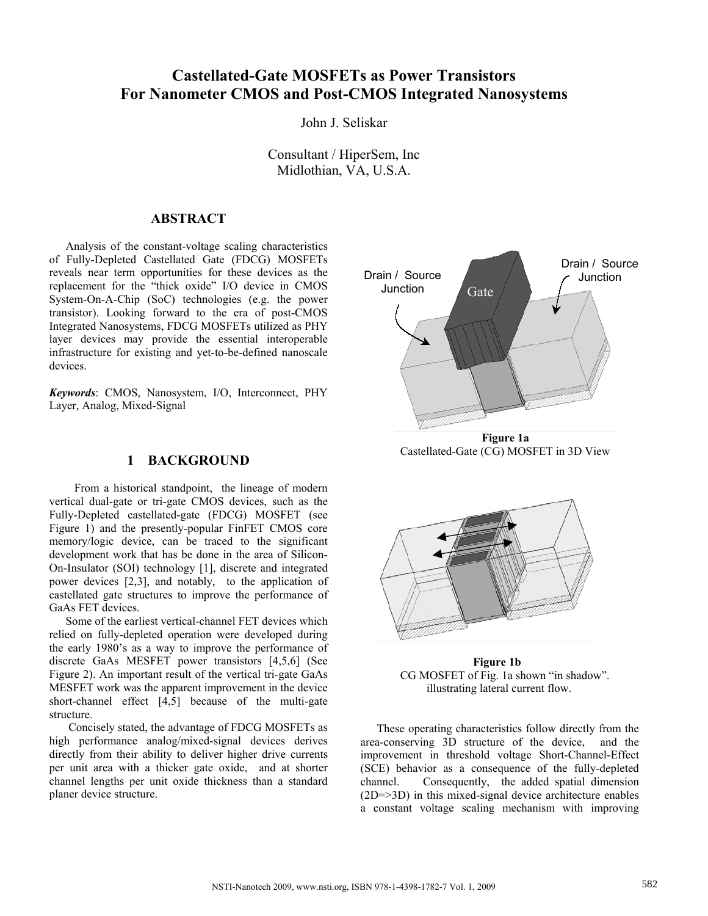# **Castellated-Gate MOSFETs as Power Transistors For Nanometer CMOS and Post-CMOS Integrated Nanosystems**

John J. Seliskar

Consultant / HiperSem, Inc Midlothian, VA, U.S.A.

## **ABSTRACT**

Analysis of the constant-voltage scaling characteristics of Fully-Depleted Castellated Gate (FDCG) MOSFETs reveals near term opportunities for these devices as the replacement for the "thick oxide" I/O device in CMOS System-On-A-Chip (SoC) technologies (e.g. the power transistor). Looking forward to the era of post-CMOS Integrated Nanosystems, FDCG MOSFETs utilized as PHY layer devices may provide the essential interoperable infrastructure for existing and yet-to-be-defined nanoscale devices.

*Keywords*: CMOS, Nanosystem, I/O, Interconnect, PHY Layer, Analog, Mixed-Signal

## **1 BACKGROUND**

 From a historical standpoint, the lineage of modern vertical dual-gate or tri-gate CMOS devices, such as the Fully-Depleted castellated-gate (FDCG) MOSFET (see Figure 1) and the presently-popular FinFET CMOS core memory/logic device, can be traced to the significant development work that has be done in the area of Silicon-On-Insulator (SOI) technology [1], discrete and integrated power devices [2,3], and notably, to the application of castellated gate structures to improve the performance of GaAs FET devices.

Some of the earliest vertical-channel FET devices which relied on fully-depleted operation were developed during the early 1980's as a way to improve the performance of discrete GaAs MESFET power transistors [4,5,6] (See Figure 2). An important result of the vertical tri-gate GaAs MESFET work was the apparent improvement in the device short-channel effect [4,5] because of the multi-gate structure.

 Concisely stated, the advantage of FDCG MOSFETs as high performance analog/mixed-signal devices derives directly from their ability to deliver higher drive currents per unit area with a thicker gate oxide, and at shorter channel lengths per unit oxide thickness than a standard planer device structure.



Castellated-Gate (CG) MOSFET in 3D View



 **Figure 1b** CG MOSFET of Fig. 1a shown "in shadow". illustrating lateral current flow.

These operating characteristics follow directly from the area-conserving 3D structure of the device, and the improvement in threshold voltage Short-Channel-Effect (SCE) behavior as a consequence of the fully-depleted channel. Consequently, the added spatial dimension (2D=>3D) in this mixed-signal device architecture enables a constant voltage scaling mechanism with improving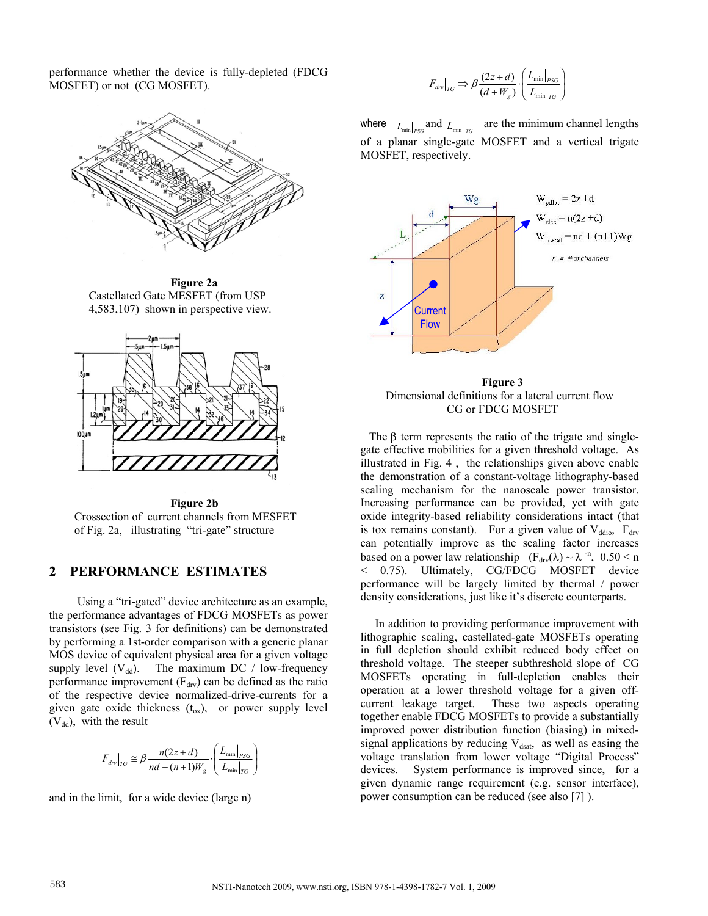performance whether the device is fully-depleted (FDCG MOSFET) or not (CG MOSFET).



 **Figure 2a**  Castellated Gate MESFET (from USP 4,583,107) shown in perspective view.



 **Figure 2b**  Crossection of current channels from MESFET of Fig. 2a, illustrating "tri-gate" structure

## **2 PERFORMANCE ESTIMATES**

 Using a "tri-gated" device architecture as an example, the performance advantages of FDCG MOSFETs as power transistors (see Fig. 3 for definitions) can be demonstrated by performing a 1st-order comparison with a generic planar MOS device of equivalent physical area for a given voltage supply level  $(V_{dd})$ . The maximum DC / low-frequency performance improvement  $(F<sub>drv</sub>)$  can be defined as the ratio of the respective device normalized-drive-currents for a given gate oxide thickness  $(t_{ox})$ , or power supply level  $(V_{dd})$ , with the result

$$
F_{div}|_{TG} \cong \beta \frac{n(2z+d)}{nd + (n+1)W_g} \cdot \left(\frac{L_{\min}|_{PSG}}{L_{\min}|_{TG}}\right)
$$

and in the limit, for a wide device (large n)

$$
F_{d\text{rv}}\big|_{TG} \Rightarrow \beta \frac{(2z+d)}{(d+W_g)} \cdot \left(\frac{L_{\min}\big|_{PSG}}{L_{\min}\big|_{TG}}\right)
$$

where  $L_{\min}|_{PSG}$  and  $L_{\min}|_{TG}$  are the minimum channel lengths of a planar single-gate MOSFET and a vertical trigate MOSFET, respectively.



 **Figure 3**  Dimensional definitions for a lateral current flow CG or FDCG MOSFET

The  $\beta$  term represents the ratio of the trigate and singlegate effective mobilities for a given threshold voltage. As illustrated in Fig. 4 , the relationships given above enable the demonstration of a constant-voltage lithography-based scaling mechanism for the nanoscale power transistor. Increasing performance can be provided, yet with gate oxide integrity-based reliability considerations intact (that is tox remains constant). For a given value of  $V_{ddio}$ ,  $F_{drv}$ can potentially improve as the scaling factor increases based on a power law relationship  $(F_{\text{drv}}(\lambda) \sim \lambda^{-n}, 0.50 \le n$ < 0.75). Ultimately, CG/FDCG MOSFET device performance will be largely limited by thermal / power density considerations, just like it's discrete counterparts.

 In addition to providing performance improvement with lithographic scaling, castellated-gate MOSFETs operating in full depletion should exhibit reduced body effect on threshold voltage. The steeper subthreshold slope of CG MOSFETs operating in full-depletion enables their operation at a lower threshold voltage for a given offcurrent leakage target. These two aspects operating together enable FDCG MOSFETs to provide a substantially improved power distribution function (biasing) in mixedsignal applications by reducing  $V_{dsat}$ , as well as easing the voltage translation from lower voltage "Digital Process" devices. System performance is improved since, for a given dynamic range requirement (e.g. sensor interface), power consumption can be reduced (see also [7] ).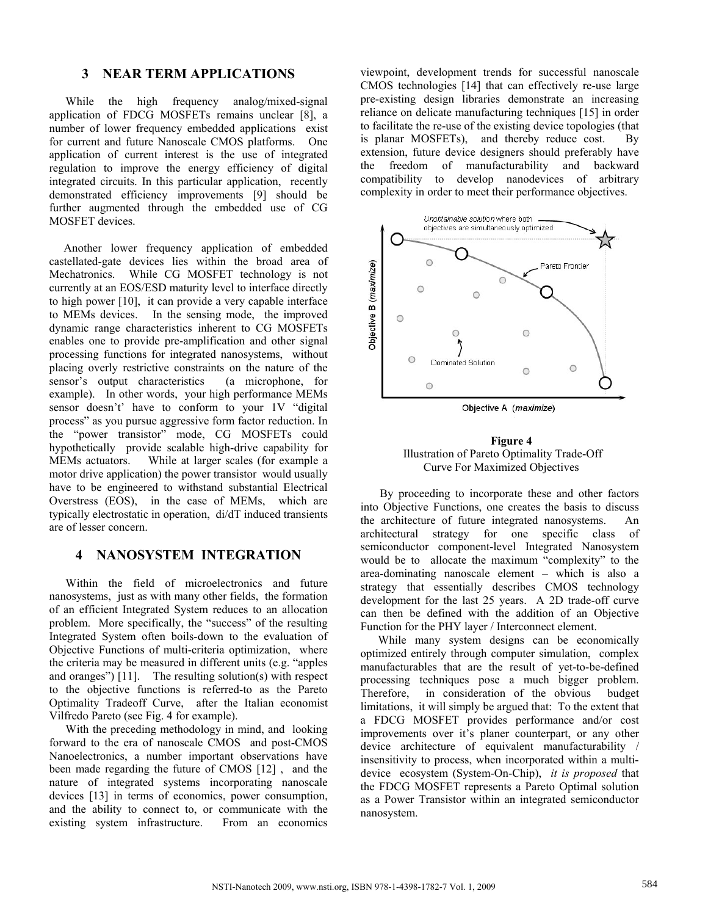#### **3 NEAR TERM APPLICATIONS**

While the high frequency analog/mixed-signal application of FDCG MOSFETs remains unclear [8], a number of lower frequency embedded applications exist for current and future Nanoscale CMOS platforms. One application of current interest is the use of integrated regulation to improve the energy efficiency of digital integrated circuits. In this particular application, recently demonstrated efficiency improvements [9] should be further augmented through the embedded use of CG MOSFET devices.

 Another lower frequency application of embedded castellated-gate devices lies within the broad area of Mechatronics. While CG MOSFET technology is not currently at an EOS/ESD maturity level to interface directly to high power [10], it can provide a very capable interface to MEMs devices. In the sensing mode, the improved dynamic range characteristics inherent to CG MOSFETs enables one to provide pre-amplification and other signal processing functions for integrated nanosystems, without placing overly restrictive constraints on the nature of the sensor's output characteristics (a microphone, for example). In other words, your high performance MEMs sensor doesn't' have to conform to your 1V "digital process" as you pursue aggressive form factor reduction. In the "power transistor" mode, CG MOSFETs could hypothetically provide scalable high-drive capability for MEMs actuators. While at larger scales (for example a motor drive application) the power transistor would usually have to be engineered to withstand substantial Electrical Overstress (EOS), in the case of MEMs, which are typically electrostatic in operation, di/dT induced transients are of lesser concern.

## **4 NANOSYSTEM INTEGRATION**

Within the field of microelectronics and future nanosystems, just as with many other fields, the formation of an efficient Integrated System reduces to an allocation problem. More specifically, the "success" of the resulting Integrated System often boils-down to the evaluation of Objective Functions of multi-criteria optimization, where the criteria may be measured in different units (e.g. "apples and oranges") [11]. The resulting solution(s) with respect to the objective functions is referred-to as the Pareto Optimality Tradeoff Curve, after the Italian economist Vilfredo Pareto (see Fig. 4 for example).

With the preceding methodology in mind, and looking forward to the era of nanoscale CMOS and post-CMOS Nanoelectronics, a number important observations have been made regarding the future of CMOS [12] , and the nature of integrated systems incorporating nanoscale devices [13] in terms of economics, power consumption, and the ability to connect to, or communicate with the existing system infrastructure. From an economics

viewpoint, development trends for successful nanoscale CMOS technologies [14] that can effectively re-use large pre-existing design libraries demonstrate an increasing reliance on delicate manufacturing techniques [15] in order to facilitate the re-use of the existing device topologies (that is planar MOSFETs), and thereby reduce cost. By extension, future device designers should preferably have the freedom of manufacturability and backward compatibility to develop nanodevices of arbitrary complexity in order to meet their performance objectives.



Objective A (maximize)

#### **Figure 4**  Illustration of Pareto Optimality Trade-Off Curve For Maximized Objectives

 By proceeding to incorporate these and other factors into Objective Functions, one creates the basis to discuss the architecture of future integrated nanosystems. An architectural strategy for one specific class of semiconductor component-level Integrated Nanosystem would be to allocate the maximum "complexity" to the area-dominating nanoscale element – which is also a strategy that essentially describes CMOS technology development for the last 25 years. A 2D trade-off curve can then be defined with the addition of an Objective Function for the PHY layer / Interconnect element.

 While many system designs can be economically optimized entirely through computer simulation, complex manufacturables that are the result of yet-to-be-defined processing techniques pose a much bigger problem. Therefore, in consideration of the obvious budget limitations, it will simply be argued that: To the extent that a FDCG MOSFET provides performance and/or cost improvements over it's planer counterpart, or any other device architecture of equivalent manufacturability / insensitivity to process, when incorporated within a multidevice ecosystem (System-On-Chip), *it is proposed* that the FDCG MOSFET represents a Pareto Optimal solution as a Power Transistor within an integrated semiconductor nanosystem.